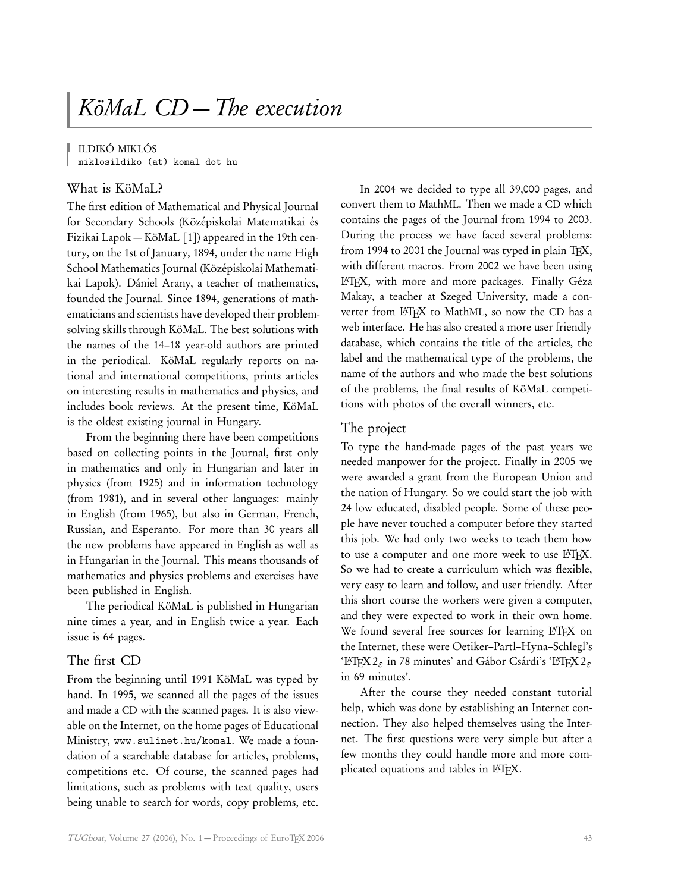ILDIKÓ MIKLÓS

miklosildiko (at) komal dot hu

# What is KöMaL?

The first edition of Mathematical and Physical Journal for Secondary Schools (Középiskolai Matematikai és Fizikai Lapok — KöMaL [1]) appeared in the 19th century, on the 1st of January, 1894, under the name High School Mathematics Journal (Középiskolai Mathematikai Lapok). Dániel Arany, a teacher of mathematics, founded the Journal. Since 1894, generations of mathematicians and scientists have developed their problemsolving skills through KöMaL. The best solutions with the names of the 14–18 year-old authors are printed in the periodical. KöMaL regularly reports on national and international competitions, prints articles on interesting results in mathematics and physics, and includes book reviews. At the present time, KöMaL is the oldest existing journal in Hungary.

From the beginning there have been competitions based on collecting points in the Journal, first only in mathematics and only in Hungarian and later in physics (from 1925) and in information technology (from 1981), and in several other languages: mainly in English (from 1965), but also in German, French, Russian, and Esperanto. For more than 30 years all the new problems have appeared in English as well as in Hungarian in the Journal. This means thousands of mathematics and physics problems and exercises have been published in English.

The periodical KöMaL is published in Hungarian nine times a year, and in English twice a year. Each issue is 64 pages.

## The first CD

From the beginning until 1991 KöMaL was typed by hand. In 1995, we scanned all the pages of the issues and made a CD with the scanned pages. It is also viewable on the Internet, on the home pages of Educational Ministry, www.sulinet.hu/komal. We made a foundation of a searchable database for articles, problems, competitions etc. Of course, the scanned pages had limitations, such as problems with text quality, users being unable to search for words, copy problems, etc.

In 2004 we decided to type all 39,000 pages, and convert them to MathML. Then we made a CD which contains the pages of the Journal from 1994 to 2003. During the process we have faced several problems: from 1994 to 2001 the Journal was typed in plain TFX, with different macros. From 2002 we have been using LATEX, with more and more packages. Finally Géza Makay, a teacher at Szeged University, made a converter from L'TFX to MathML, so now the CD has a web interface. He has also created a more user friendly database, which contains the title of the articles, the label and the mathematical type of the problems, the name of the authors and who made the best solutions of the problems, the final results of KöMaL competitions with photos of the overall winners, etc.

#### The project

To type the hand-made pages of the past years we needed manpower for the project. Finally in 2005 we were awarded a grant from the European Union and the nation of Hungary. So we could start the job with 24 low educated, disabled people. Some of these people have never touched a computer before they started this job. We had only two weeks to teach them how to use a computer and one more week to use LATFX. So we had to create a curriculum which was flexible, very easy to learn and follow, and user friendly. After this short course the workers were given a computer, and they were expected to work in their own home. We found several free sources for learning LATEX on the Internet, these were Oetiker–Partl–Hyna–Schlegl's 'L<sup>4</sup>TEX 2<sup>*g*</sup> in 78 minutes' and Gábor Csárdi's 'L<sup>4</sup>TEX 2<sup>*g*</sup> in 69 minutes'.

After the course they needed constant tutorial help, which was done by establishing an Internet connection. They also helped themselves using the Internet. The first questions were very simple but after a few months they could handle more and more complicated equations and tables in LATEX.